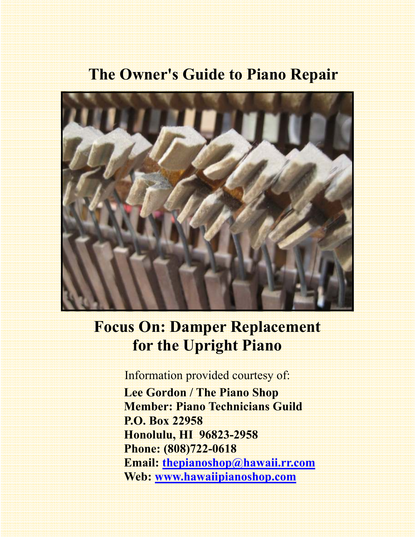## **The Owner's Guide to Piano Repair**



# **Focus On: Damper Replacement for the Upright Piano**

Information provided courtesy of:  **Lee Gordon / The Piano Shop Member: Piano Technicians Guild P.O. Box 22958 Honolulu, HI 96823-2958 Phone: (808)722-0618 Email: thepianoshop@hawaii.rr.com Web: www.hawaiipianoshop.com**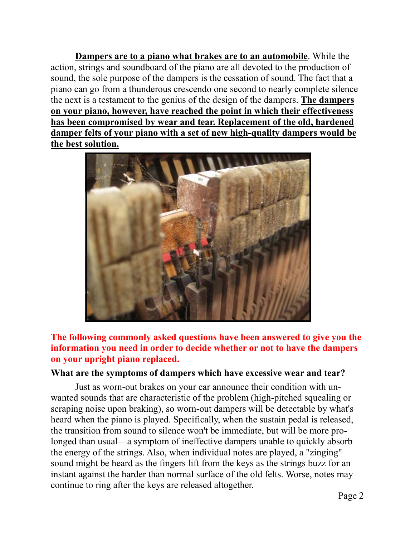**Dampers are to a piano what brakes are to an automobile**. While the action, strings and soundboard of the piano are all devoted to the production of sound, the sole purpose of the dampers is the cessation of sound. The fact that a piano can go from a thunderous crescendo one second to nearly complete silence the next is a testament to the genius of the design of the dampers. **The dampers on your piano, however, have reached the point in which their effectiveness has been compromised by wear and tear. Replacement of the old, hardened damper felts of your piano with a set of new high-quality dampers would be the best solution.** 



#### **The following commonly asked questions have been answered to give you the information you need in order to decide whether or not to have the dampers on your upright piano replaced.**

#### **What are the symptoms of dampers which have excessive wear and tear?**

Just as worn-out brakes on your car announce their condition with unwanted sounds that are characteristic of the problem (high-pitched squealing or scraping noise upon braking), so worn-out dampers will be detectable by what's heard when the piano is played. Specifically, when the sustain pedal is released, the transition from sound to silence won't be immediate, but will be more prolonged than usual—a symptom of ineffective dampers unable to quickly absorb the energy of the strings. Also, when individual notes are played, a "zinging" sound might be heard as the fingers lift from the keys as the strings buzz for an instant against the harder than normal surface of the old felts. Worse, notes may continue to ring after the keys are released altogether.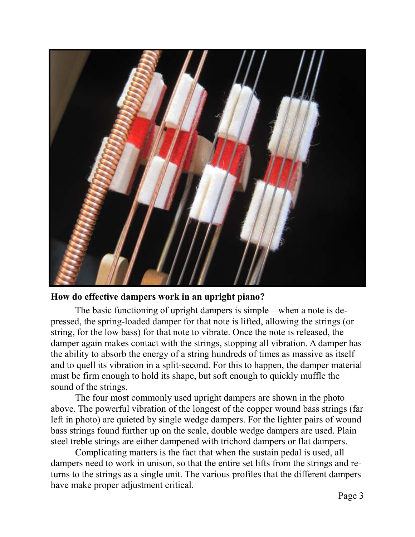

#### **How do effective dampers work in an upright piano?**

 The basic functioning of upright dampers is simple—when a note is depressed, the spring-loaded damper for that note is lifted, allowing the strings (or string, for the low bass) for that note to vibrate. Once the note is released, the damper again makes contact with the strings, stopping all vibration. A damper has the ability to absorb the energy of a string hundreds of times as massive as itself and to quell its vibration in a split-second. For this to happen, the damper material must be firm enough to hold its shape, but soft enough to quickly muffle the sound of the strings.

 The four most commonly used upright dampers are shown in the photo above. The powerful vibration of the longest of the copper wound bass strings (far left in photo) are quieted by single wedge dampers. For the lighter pairs of wound bass strings found further up on the scale, double wedge dampers are used. Plain steel treble strings are either dampened with trichord dampers or flat dampers.

 Complicating matters is the fact that when the sustain pedal is used, all dampers need to work in unison, so that the entire set lifts from the strings and returns to the strings as a single unit. The various profiles that the different dampers have make proper adjustment critical.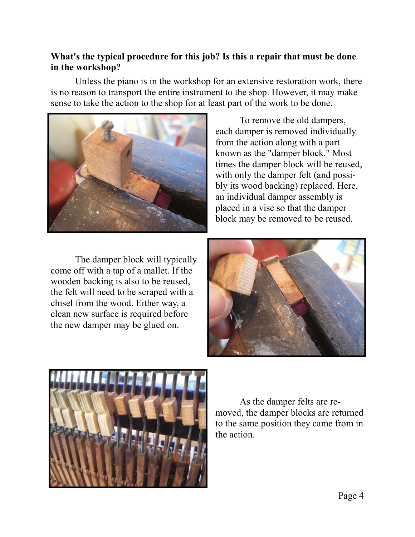#### **What's the typical procedure for this job? Is this a repair that must be done in the workshop?**

 Unless the piano is in the workshop for an extensive restoration work, there is no reason to transport the entire instrument to the shop. However, it may make sense to take the action to the shop for at least part of the work to be done.



 To remove the old dampers, each damper is removed individually from the action along with a part known as the "damper block." Most times the damper block will be reused, with only the damper felt (and possibly its wood backing) replaced. Here, an individual damper assembly is placed in a vise so that the damper block may be removed to be reused.

 The damper block will typically come off with a tap of a mallet. If the wooden backing is also to be reused, the felt will need to be scraped with a chisel from the wood. Either way, a clean new surface is required before the new damper may be glued on.





As the damper felts are removed, the damper blocks are returned to the same position they came from in the action.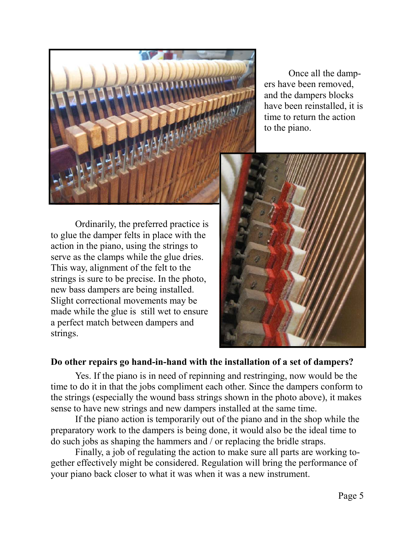

 Once all the dampers have been removed, and the dampers blocks have been reinstalled, it is time to return the action to the piano.

 Ordinarily, the preferred practice is to glue the damper felts in place with the action in the piano, using the strings to serve as the clamps while the glue dries. This way, alignment of the felt to the strings is sure to be precise. In the photo, new bass dampers are being installed. Slight correctional movements may be made while the glue is still wet to ensure a perfect match between dampers and strings.



#### **Do other repairs go hand-in-hand with the installation of a set of dampers?**

 Yes. If the piano is in need of repinning and restringing, now would be the time to do it in that the jobs compliment each other. Since the dampers conform to the strings (especially the wound bass strings shown in the photo above), it makes sense to have new strings and new dampers installed at the same time.

 If the piano action is temporarily out of the piano and in the shop while the preparatory work to the dampers is being done, it would also be the ideal time to do such jobs as shaping the hammers and / or replacing the bridle straps.

 Finally, a job of regulating the action to make sure all parts are working together effectively might be considered. Regulation will bring the performance of your piano back closer to what it was when it was a new instrument.